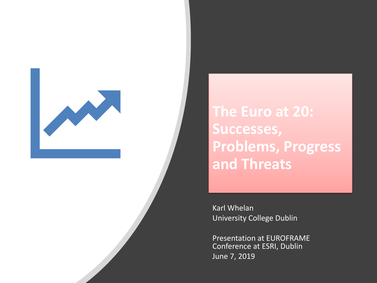

**The Euro at 20: Successes, Problems, Progress and Threats**

Karl Whelan University College Dublin

Presentation at EUROFRAME Conference at ESRI, Dublin June 7, 2019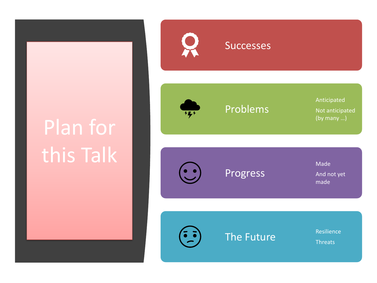# Plan for this Talk



#### **Successes**

Problems

Progress

Not anticipated (by many …)

Anticipated

Made And not yet made



The Future

**Threats**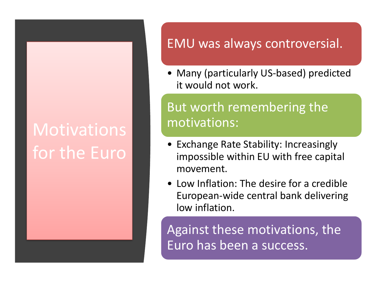## **Motivations** for the Euro

#### EMU was always controversial.

• Many (particularly US-based) predicted it would not work.

#### But worth remembering the motivations:

- Exchange Rate Stability: Increasingly impossible within EU with free capital movement.
- Low Inflation: The desire for a credible European-wide central bank delivering low inflation.

Against these motivations, the Euro has been a success.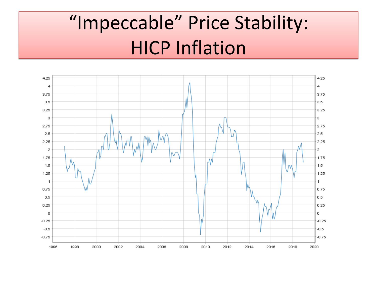## "Impeccable" Price Stability: HICP Inflation

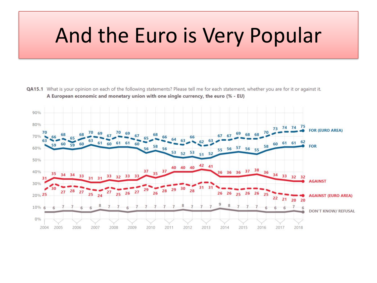### And the Euro is Very Popular

QA15.1 What is your opinion on each of the following statements? Please tell me for each statement, whether you are for it or against it. A European economic and monetary union with one single currency, the euro (% - EU)

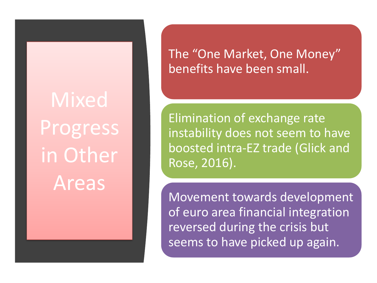**Mixed** Progress in Other Areas

The "One Market, One Money" benefits have been small.

Elimination of exchange rate instability does not seem to have boosted intra-EZ trade (Glick and Rose, 2016).

Movement towards development of euro area financial integration reversed during the crisis but seems to have picked up again.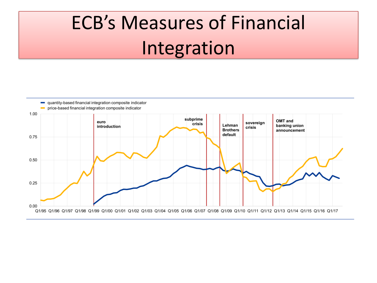## ECB's Measures of Financial Integration

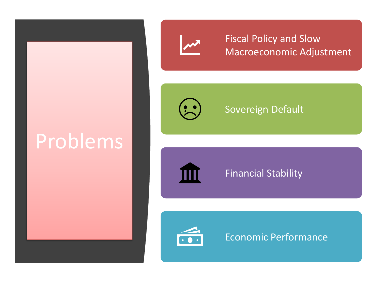## Problems



Fiscal Policy and Slow Macroeconomic Adjustment



#### Sovereign Default



#### Financial Stability



#### Economic Performance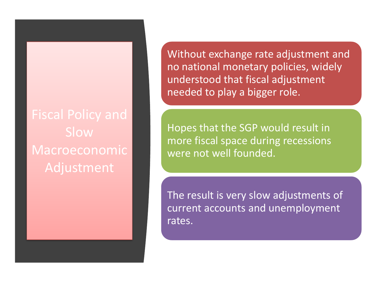Slow Macroeconomic Adjustment

Without exchange rate adjustment and no national monetary policies, widely understood that fiscal adjustment needed to play a bigger role.

Hopes that the SGP would result in more fiscal space during recessions were not well founded.

The result is very slow adjustments of current accounts and unemployment rates.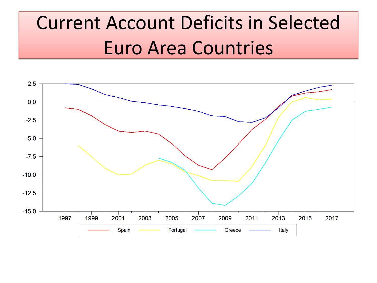## Current Account Deficits in Selected Euro Area Countries

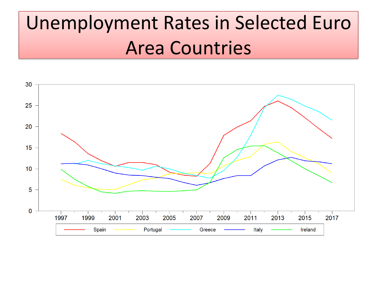## Unemployment Rates in Selected Euro Area Countries

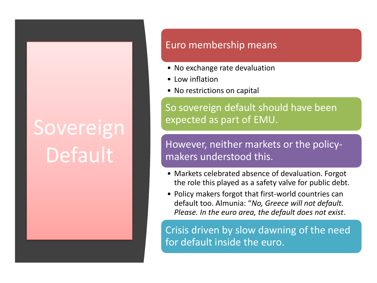# Sovereign Default

#### Euro membership means

- No exchange rate devaluation
- Low inflation
- No restrictions on capital

So sovereign default should have been expected as part of EMU.

However, neither markets or the policymakers understood this.

- Markets celebrated absence of devaluation. Forgot the role this played as a safety valve for public debt.
- Policy makers forgot that first-world countries can default too. Almunia: "*No, Greece will not default. Please. In the euro area, the default does not exist*.

Crisis driven by slow dawning of the need for default inside the euro.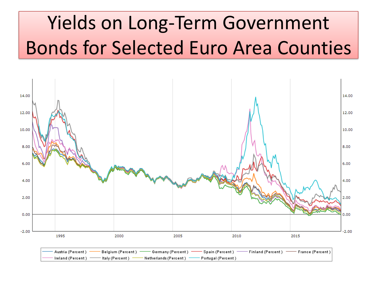## Yields on Long-Term Government Bonds for Selected Euro Area Counties

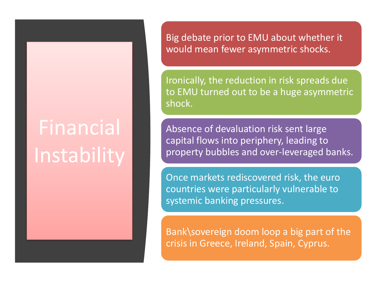# Financial Instability

Big debate prior to EMU about whether it would mean fewer asymmetric shocks.

Ironically, the reduction in risk spreads due to EMU turned out to be a huge asymmetric shock.

Absence of devaluation risk sent large capital flows into periphery, leading to property bubbles and over-leveraged banks.

Once markets rediscovered risk, the euro countries were particularly vulnerable to systemic banking pressures.

Bank\sovereign doom loop a big part of the crisis in Greece, Ireland, Spain, Cyprus.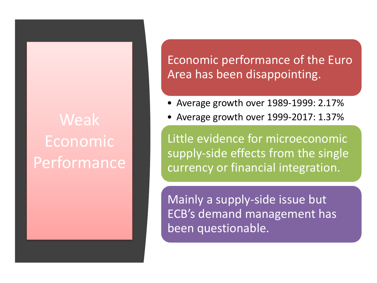### Weak Economic Performance

#### Economic performance of the Euro Area has been disappointing.

- Average growth over 1989-1999: 2.17%
- Average growth over 1999-2017: 1.37%

Little evidence for microeconomic supply-side effects from the single currency or financial integration.

Mainly a supply-side issue but ECB's demand management has been questionable.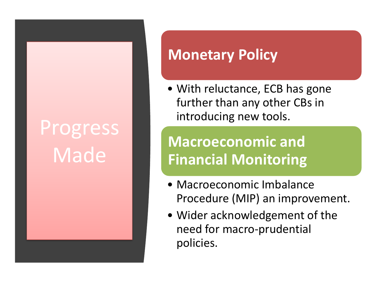# Progress Made

### **Monetary Policy**

• With reluctance, ECB has gone further than any other CBs in introducing new tools.

### **Macroeconomic and Financial Monitoring**

- Macroeconomic Imbalance Procedure (MIP) an improvement.
- Wider acknowledgement of the need for macro-prudential policies.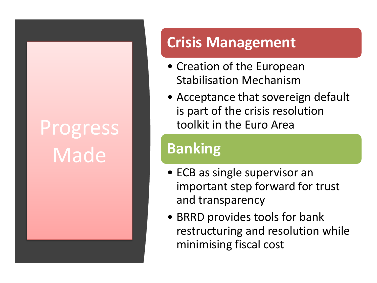# Progress Made

### **Crisis Management**

- Creation of the European Stabilisation Mechanism
- Acceptance that sovereign default is part of the crisis resolution toolkit in the Euro Area

### **Banking**

- ECB as single supervisor an important step forward for trust and transparency
- BRRD provides tools for bank restructuring and resolution while minimising fiscal cost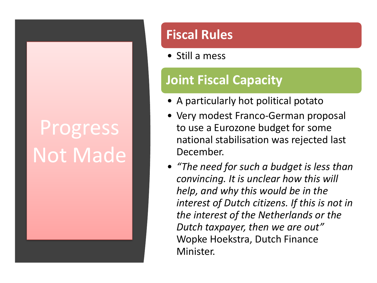# Progress Not Made

#### **Fiscal Rules**

• Still a mess

#### **Joint Fiscal Capacity**

- A particularly hot political potato
- Very modest Franco-German proposal to use a Eurozone budget for some national stabilisation was rejected last December.
- *"The need for such a budget is less than convincing. It is unclear how this will help, and why this would be in the interest of Dutch citizens. If this is not in the interest of the Netherlands or the Dutch taxpayer, then we are out"* Wopke Hoekstra, Dutch Finance Minister.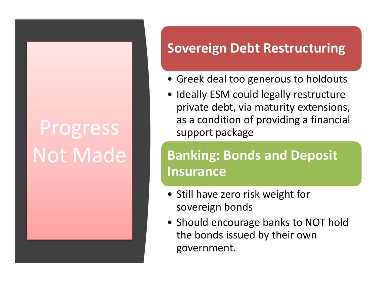# Progress Not Made

#### **Sovereign Debt Restructuring**

- Greek deal too generous to holdouts
- Ideally ESM could legally restructure private debt, via maturity extensions, as a condition of providing a financial support package

### **Banking: Bonds and Deposit Insurance**

- Still have zero risk weight for sovereign bonds
- Should encourage banks to NOT hold the bonds issued by their own government.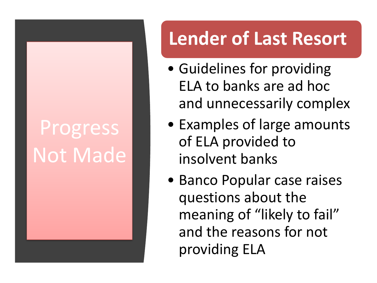# Progress Not Made

### **Lender of Last Resort**

- Guidelines for providing ELA to banks are ad hoc and unnecessarily complex
- Examples of large amounts of ELA provided to insolvent banks
- Banco Popular case raises questions about the meaning of "likely to fail" and the reasons for not providing ELA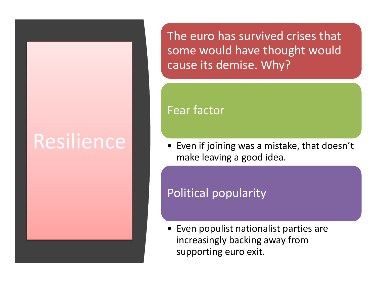## Resilience

The euro has survived crises that some would have thought would cause its demise. Why?

#### Fear factor

• Even if joining was a mistake, that doesn't make leaving a good idea.

#### Political popularity

• Even populist nationalist parties are increasingly backing away from supporting euro exit.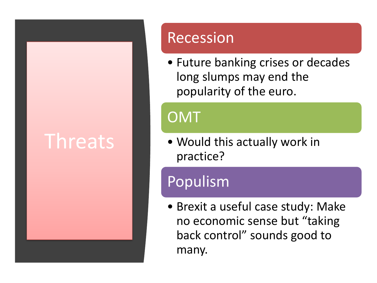### Threats

### Recession

• Future banking crises or decades long slumps may end the popularity of the euro.

### **OMT**

• Would this actually work in practice?

### Populism

• Brexit a useful case study: Make no economic sense but "taking back control" sounds good to many.